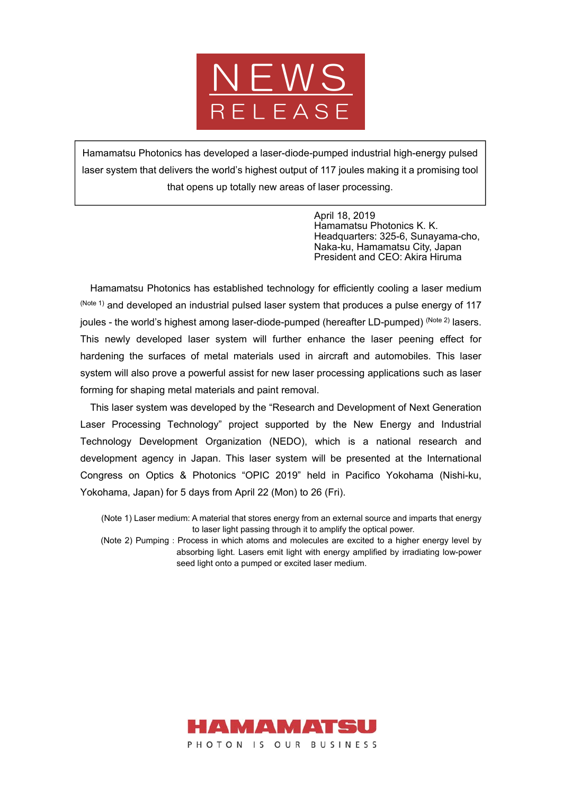

Hamamatsu Photonics has developed a laser-diode-pumped industrial high-energy pulsed laser system that delivers the world's highest output of 117 joules making it a promising tool that opens up totally new areas of laser processing.

> April 18, 2019 Hamamatsu Photonics K. K. Headquarters: 325-6, Sunayama-cho, Naka-ku, Hamamatsu City, Japan President and CEO: Akira Hiruma

Hamamatsu Photonics has established technology for efficiently cooling a laser medium  $(N^{10}$  and developed an industrial pulsed laser system that produces a pulse energy of 117 joules - the world's highest among laser-diode-pumped (hereafter LD-pumped) (Note 2) lasers. This newly developed laser system will further enhance the laser peening effect for hardening the surfaces of metal materials used in aircraft and automobiles. This laser system will also prove a powerful assist for new laser processing applications such as laser forming for shaping metal materials and paint removal.

This laser system was developed by the "Research and Development of Next Generation Laser Processing Technology" project supported by the New Energy and Industrial Technology Development Organization (NEDO), which is a national research and development agency in Japan. This laser system will be presented at the International Congress on Optics & Photonics "OPIC 2019" held in Pacifico Yokohama (Nishi-ku, Yokohama, Japan) for 5 days from April 22 (Mon) to 26 (Fri).

(Note 1) Laser medium: A material that stores energy from an external source and imparts that energy to laser light passing through it to amplify the optical power.

(Note 2) Pumping: Process in which atoms and molecules are excited to a higher energy level by absorbing light. Lasers emit light with energy amplified by irradiating low-power seed light onto a pumped or excited laser medium.

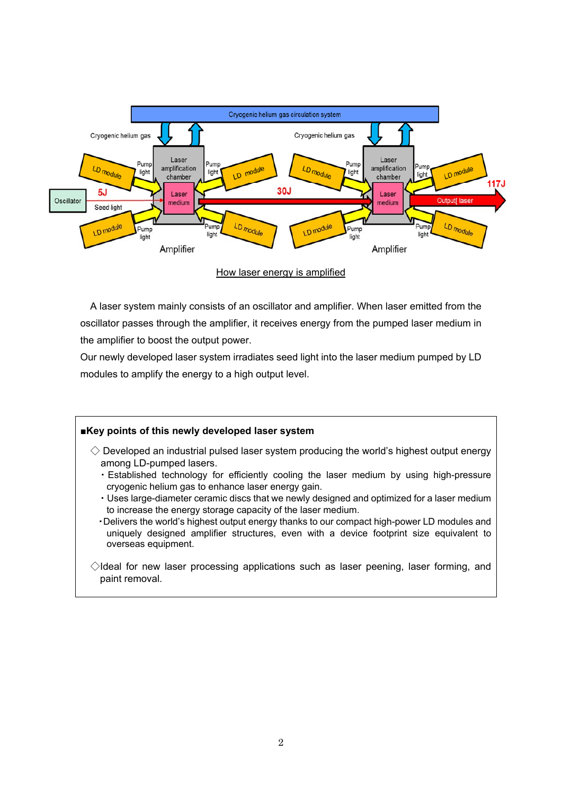

How laser energy is amplified

A laser system mainly consists of an oscillator and amplifier. When laser emitted from the oscillator passes through the amplifier, it receives energy from the pumped laser medium in the amplifier to boost the output power.

Our newly developed laser system irradiates seed light into the laser medium pumped by LD modules to amplify the energy to a high output level.

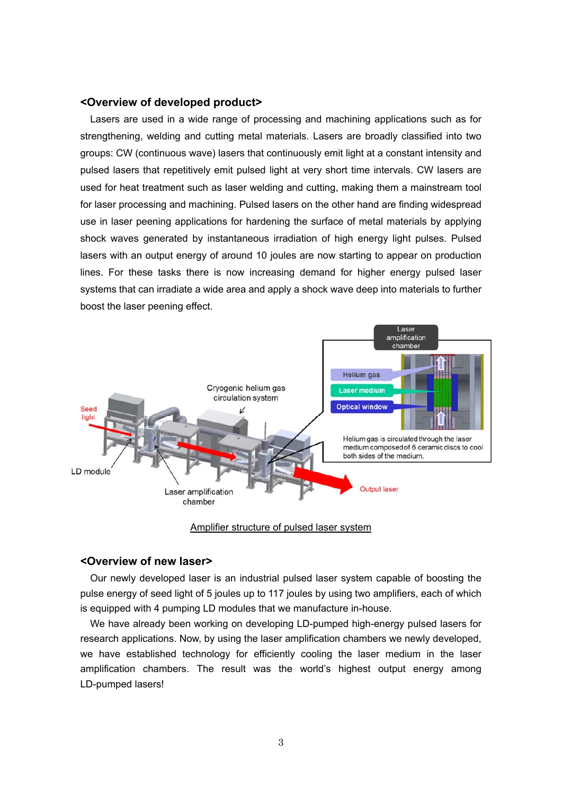## **<Overview of developed product>**

Lasers are used in a wide range of processing and machining applications such as for strengthening, welding and cutting metal materials. Lasers are broadly classified into two groups: CW (continuous wave) lasers that continuously emit light at a constant intensity and pulsed lasers that repetitively emit pulsed light at very short time intervals. CW lasers are used for heat treatment such as laser welding and cutting, making them a mainstream tool for laser processing and machining. Pulsed lasers on the other hand are finding widespread use in laser peening applications for hardening the surface of metal materials by applying shock waves generated by instantaneous irradiation of high energy light pulses. Pulsed lasers with an output energy of around 10 joules are now starting to appear on production lines. For these tasks there is now increasing demand for higher energy pulsed laser systems that can irradiate a wide area and apply a shock wave deep into materials to further boost the laser peening effect.



## Amplifier structure of pulsed laser system

## **<Overview of new laser>**

Our newly developed laser is an industrial pulsed laser system capable of boosting the pulse energy of seed light of 5 joules up to 117 joules by using two amplifiers, each of which is equipped with 4 pumping LD modules that we manufacture in-house.

We have already been working on developing LD-pumped high-energy pulsed lasers for research applications. Now, by using the laser amplification chambers we newly developed, we have established technology for efficiently cooling the laser medium in the laser amplification chambers. The result was the world's highest output energy among LD-pumped lasers!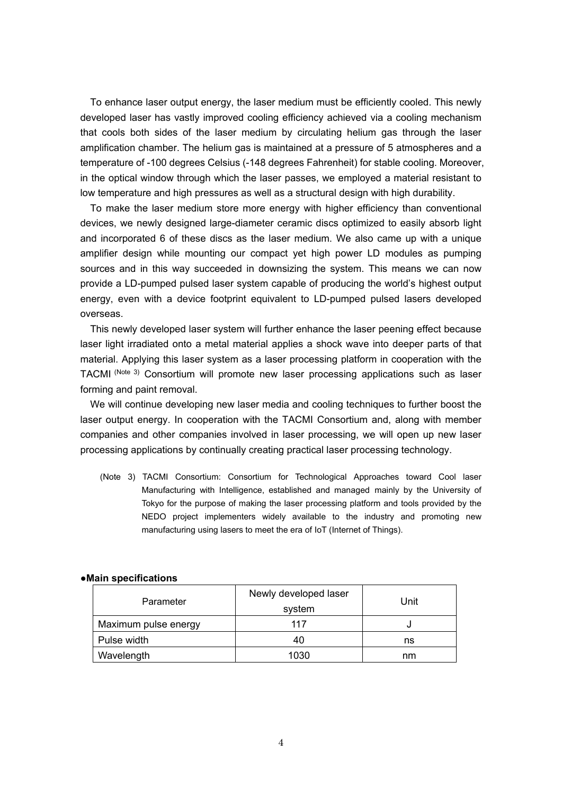To enhance laser output energy, the laser medium must be efficiently cooled. This newly developed laser has vastly improved cooling efficiency achieved via a cooling mechanism that cools both sides of the laser medium by circulating helium gas through the laser amplification chamber. The helium gas is maintained at a pressure of 5 atmospheres and a temperature of -100 degrees Celsius (-148 degrees Fahrenheit) for stable cooling. Moreover, in the optical window through which the laser passes, we employed a material resistant to low temperature and high pressures as well as a structural design with high durability.

To make the laser medium store more energy with higher efficiency than conventional devices, we newly designed large-diameter ceramic discs optimized to easily absorb light and incorporated 6 of these discs as the laser medium. We also came up with a unique amplifier design while mounting our compact yet high power LD modules as pumping sources and in this way succeeded in downsizing the system. This means we can now provide a LD-pumped pulsed laser system capable of producing the world's highest output energy, even with a device footprint equivalent to LD-pumped pulsed lasers developed overseas.

This newly developed laser system will further enhance the laser peening effect because laser light irradiated onto a metal material applies a shock wave into deeper parts of that material. Applying this laser system as a laser processing platform in cooperation with the TACMI (Note 3) Consortium will promote new laser processing applications such as laser forming and paint removal.

We will continue developing new laser media and cooling techniques to further boost the laser output energy. In cooperation with the TACMI Consortium and, along with member companies and other companies involved in laser processing, we will open up new laser processing applications by continually creating practical laser processing technology.

(Note 3) TACMI Consortium: Consortium for Technological Approaches toward Cool laser Manufacturing with Intelligence, established and managed mainly by the University of Tokyo for the purpose of making the laser processing platform and tools provided by the NEDO project implementers widely available to the industry and promoting new manufacturing using lasers to meet the era of IoT (Internet of Things).

| Parameter            | Newly developed laser<br>system | Unit |
|----------------------|---------------------------------|------|
| Maximum pulse energy | 117                             |      |
| Pulse width          | 40                              | ns   |
| Wavelength           | 1030                            | nm   |

## **●Main specifications**